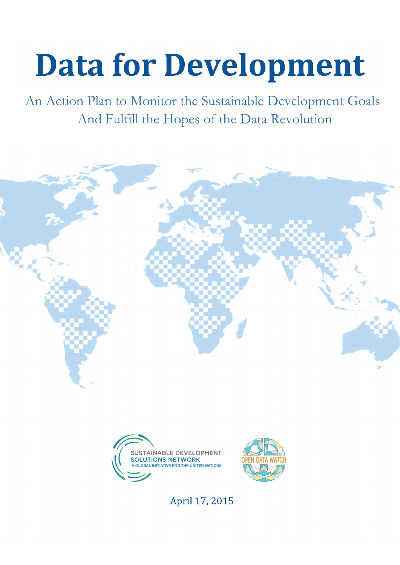# **Data for Development**

An Action Plan to Monitor the Sustainable Development Goals And Fulfill the Hopes of the Data Revolution







April 17, 2015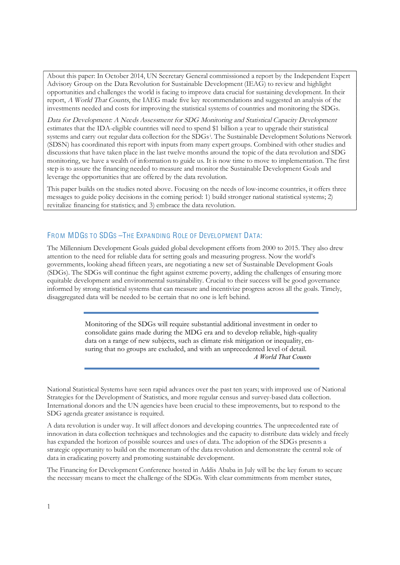About this paper: In October 2014, UN Secretary General commissioned a report by the Independent Expert Advisory Group on the Data Revolution for Sustainable Development (IEAG) to review and highlight opportunities and challenges the world is facing to improve data crucial for sustaining development. In their report, A World That Counts, the IAEG made five key recommendations and suggested an analysis of the investments needed and costs for improving the statistical systems of countries and monitoring the SDGs.

Data for Development: A Needs Assessment for SDG Monitoring and Statistical Capacity Development estimates that the IDA-eligible countries will need to spend \$1 billion a year to upgrade their statistical systems and carry out regular data collection for the SDGs<sup>i</sup>. The Sustainable Development Solutions Network (SDSN) has coordinated this report with inputs from many expert groups. Combined with other studies and discussions that have taken place in the last twelve months around the topic of the data revolution and SDG monitoring, we have a wealth of information to guide us. It is now time to move to implementation. The first step is to assure the financing needed to measure and monitor the Sustainable Development Goals and leverage the opportunities that are offered by the data revolution.

This paper builds on the studies noted above. Focusing on the needs of low-income countries, it offers three messages to guide policy decisions in the coming period: 1) build stronger national statistical systems; 2) revitalize financing for statistics; and 3) embrace the data revolution.

### FROM MDGS TO SDGS-THE EXPANDING ROLE OF DEVELOPMENT DATA:

The Millennium Development Goals guided global development efforts from 2000 to 2015. They also drew attention to the need for reliable data for setting goals and measuring progress. Now the world's governments, looking ahead fifteen years, are negotiating a new set of Sustainable Development Goals (SDGs). The SDGs will continue the fight against extreme poverty, adding the challenges of ensuring more equitable development and environmental sustainability. Crucial to their success will be good governance informed by strong statistical systems that can measure and incentivize progress across all the goals. Timely, disaggregated data will be needed to be certain that no one is left behind.

> Monitoring of the SDGs will require substantial additional investment in order to consolidate gains made during the MDG era and to develop reliable, high-quality data on a range of new subjects, such as climate risk mitigation or inequality, ensuring that no groups are excluded, and with an unprecedented level of detail. *A World That Counts*

National Statistical Systems have seen rapid advances over the past ten years; with improved use of National Strategies for the Development of Statistics, and more regular census and survey-based data collection. International donors and the UN agencies have been crucial to these improvements, but to respond to the SDG agenda greater assistance is required.

A data revolution is under way. It will affect donors and developing countries. The unprecedented rate of innovation in data collection techniques and technologies and the capacity to distribute data widely and freely has expanded the horizon of possible sources and uses of data. The adoption of the SDGs presents a strategic opportunity to build on the momentum of the data revolution and demonstrate the central role of data in eradicating poverty and promoting sustainable development.

The Financing for Development Conference hosted in Addis Ababa in July will be the key forum to secure the necessary means to meet the challenge of the SDGs. With clear commitments from member states,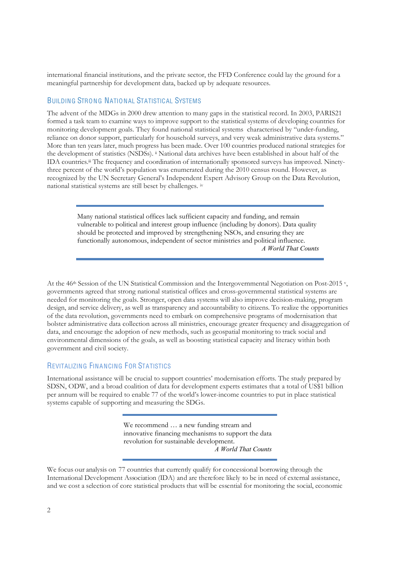international financial institutions, and the private sector, the FFD Conference could lay the ground for a meaningful partnership for development data, backed up by adequate resources.

## BUILDING STRONG NATIONAL STATISTICAL SYSTEMS

The advent of the MDGs in 2000 drew attention to many gaps in the statistical record. In 2003, PARIS21 formed a task team to examine ways to improve support to the statistical systems of developing countries for monitoring development goals. They found national statistical systems characterised by "under-funding, reliance on donor support, particularly for household surveys, and very weak administrative data systems." More than ten years later, much progress has been made. Over 100 countries produced national strategies for the development of statistics (NSDSs). *ii* National data archives have been established in about half of the IDA countries.<sup>iii</sup> The frequency and coordination of internationally sponsored surveys has improved. Ninetythree percent of the world's population was enumerated during the 2010 census round. However, as recognized by the UN Secretary General's Independent Expert Advisory Group on the Data Revolution, national statistical systems are still beset by challenges. iv

> Many national statistical offices lack sufficient capacity and funding, and remain vulnerable to political and interest group influence (including by donors). Data quality should be protected and improved by strengthening NSOs, and ensuring they are functionally autonomous, independent of sector ministries and political influence. *A World That Counts*

At the 46<sup>th</sup> Session of the UN Statistical Commission and the Intergovernmental Negotiation on Post-2015 v, governments agreed that strong national statistical offices and cross-governmental statistical systems are needed for monitoring the goals. Stronger, open data systems will also improve decision-making, program design, and service delivery, as well as transparency and accountability to citizens. To realize the opportunities of the data revolution, governments need to embark on comprehensive programs of modernisation that bolster administrative data collection across all ministries, encourage greater frequency and disaggregation of data, and encourage the adoption of new methods, such as geospatial monitoring to track social and environmental dimensions of the goals, as well as boosting statistical capacity and literacy within both government and civil society.

### REVITALIZING FINANCING FOR STATISTICS

International assistance will be crucial to support countries' modernisation efforts. The study prepared by SDSN, ODW, and a broad coalition of data for development experts estimates that a total of US\$1 billion per annum will be required to enable 77 of the world's lower-income countries to put in place statistical systems capable of supporting and measuring the SDGs.

> We recommend … a new funding stream and innovative financing mechanisms to support the data revolution for sustainable development. *A World That Counts*

We focus our analysis on 77 countries that currently qualify for concessional borrowing through the International Development Association (IDA) and are therefore likely to be in need of external assistance, and we cost a selection of core statistical products that will be essential for monitoring the social, economic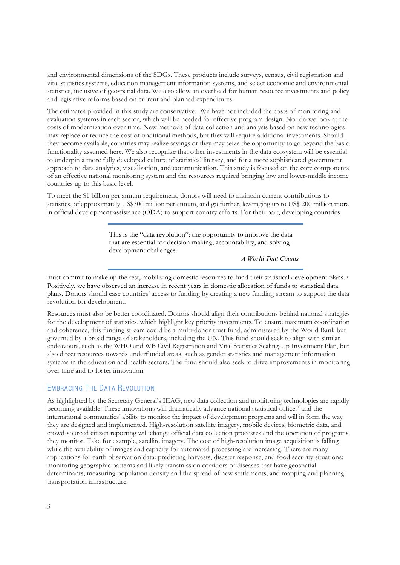and environmental dimensions of the SDGs. These products include surveys, census, civil registration and vital statistics systems, education management information systems, and select economic and environmental statistics, inclusive of geospatial data. We also allow an overhead for human resource investments and policy and legislative reforms based on current and planned expenditures.

The estimates provided in this study are conservative. We have not included the costs of monitoring and evaluation systems in each sector, which will be needed for effective program design. Nor do we look at the costs of modernization over time. New methods of data collection and analysis based on new technologies may replace or reduce the cost of traditional methods, but they will require additional investments. Should they become available, countries may realize savings or they may seize the opportunity to go beyond the basic functionality assumed here. We also recognize that other investments in the data ecosystem will be essential to underpin a more fully developed culture of statistical literacy, and for a more sophisticated government approach to data analytics, visualization, and communication. This study is focused on the core components of an effective national monitoring system and the resources required bringing low and lower-middle income countries up to this basic level.

To meet the \$1 billion per annum requirement, donors will need to maintain current contributions to statistics, of approximately US\$300 million per annum, and go further, leveraging up to US\$ 200 million more in official development assistance (ODA) to support country efforts. For their part, developing countries

> This is the "data revolution": the opportunity to improve the data that are essential for decision making, accountability, and solving development challenges.

> > *A World That Counts*

must commit to make up the rest, mobilizing domestic resources to fund their statistical development plans. vi Positively, we have observed an increase in recent years in domestic allocation of funds to statistical data plans. Donors should ease countries' access to funding by creating a new funding stream to support the data revolution for development.

Resources must also be better coordinated. Donors should align their contributions behind national strategies for the development of statistics, which highlight key priority investments. To ensure maximum coordination and coherence, this funding stream could be a multi-donor trust fund, administered by the World Bank but governed by a broad range of stakeholders, including the UN. This fund should seek to align with similar endeavours, such as the WHO and WB Civil Registration and Vital Statistics Scaling-Up Investment Plan, but also direct resources towards underfunded areas, such as gender statistics and management information systems in the education and health sectors. The fund should also seek to drive improvements in monitoring over time and to foster innovation.

### EMBRACING THE DATA REVOLUTION

As highlighted by the Secretary General's IEAG, new data collection and monitoring technologies are rapidly becoming available. These innovations will dramatically advance national statistical offices' and the international communities' ability to monitor the impact of development programs and will in form the way they are designed and implemented. High-resolution satellite imagery, mobile devices, biometric data, and crowd-sourced citizen reporting will change official data collection processes and the operation of programs they monitor. Take for example, satellite imagery. The cost of high-resolution image acquisition is falling while the availability of images and capacity for automated processing are increasing. There are many applications for earth observation data: predicting harvests, disaster response, and food security situations; monitoring geographic patterns and likely transmission corridors of diseases that have geospatial determinants; measuring population density and the spread of new settlements; and mapping and planning transportation infrastructure.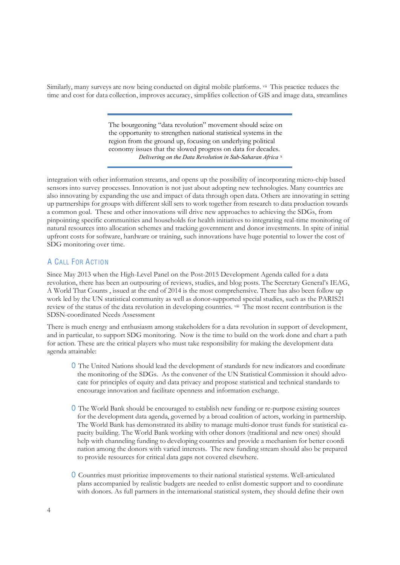Similarly, many surveys are now being conducted on digital mobile platforms. v<sup>ii</sup> This practice reduces the time and cost for data collection, improves accuracy, simplifies collection of GIS and image data, streamlines

> The bourgeoning "data revolution" movement should seize on the opportunity to strengthen national statistical systems in the region from the ground up, focusing on underlying political economy issues that the slowed progress on data for decades. *Delivering on the Data Revolution in Sub-Saharan Africa* x

integration with other information streams, and opens up the possibility of incorporating micro-chip based sensors into survey processes. Innovation is not just about adopting new technologies. Many countries are also innovating by expanding the use and impact of data through open data. Others are innovating in setting up partnerships for groups with different skill sets to work together from research to data production towards a common goal. These and other innovations will drive new approaches to achieving the SDGs, from pinpointing specific communities and households for health initiatives to integrating real-time monitoring of natural resources into allocation schemes and tracking government and donor investments. In spite of initial upfront costs for software, hardware or training, such innovations have huge potential to lower the cost of SDG monitoring over time.

# A CALL FOR ACTION

Since May 2013 when the High-Level Panel on the Post-2015 Development Agenda called for a data revolution, there has been an outpouring of reviews, studies, and blog posts. The Secretary General's IEAG, A World That Counts , issued at the end of 2014 is the most comprehensive. There has also been follow up work led by the UN statistical community as well as donor-supported special studies, such as the PARIS21 review of the status of the data revolution in developing countries. viii The most recent contribution is the SDSN-coordinated Needs Assessment

There is much energy and enthusiasm among stakeholders for a data revolution in support of development, and in particular, to support SDG monitoring. Now is the time to build on the work done and chart a path for action. These are the critical players who must take responsibility for making the development data agenda attainable:

- O The United Nations should lead the development of standards for new indicators and coordinate the monitoring of the SDGs. As the convener of the UN Statistical Commission it should advocate for principles of equity and data privacy and propose statistical and technical standards to encourage innovation and facilitate openness and information exchange.
- O The World Bank should be encouraged to establish new funding or re-purpose existing sources for the development data agenda, governed by a broad coalition of actors, working in partnership. The World Bank has demonstrated its ability to manage multi-donor trust funds for statistical capacity building. The World Bank working with other donors (traditional and new ones) should help with channeling funding to developing countries and provide a mechanism for better coordi nation among the donors with varied interests. The new funding stream should also be prepared to provide resources for critical data gaps not covered elsewhere.
- O Countries must prioritize improvements to their national statistical systems. Well-articulated plans accompanied by realistic budgets are needed to enlist domestic support and to coordinate with donors. As full partners in the international statistical system, they should define their own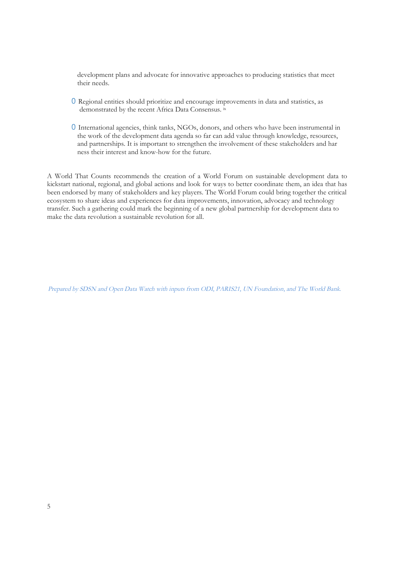development plans and advocate for innovative approaches to producing statistics that meet their needs.

- O Regional entities should prioritize and encourage improvements in data and statistics, as demonstrated by the recent Africa Data Consensus. ix
- O International agencies, think tanks, NGOs, donors, and others who have been instrumental in the work of the development data agenda so far can add value through knowledge, resources, and partnerships. It is important to strengthen the involvement of these stakeholders and har ness their interest and know-how for the future.

A World That Counts recommends the creation of a World Forum on sustainable development data to kickstart national, regional, and global actions and look for ways to better coordinate them, an idea that has been endorsed by many of stakeholders and key players. The World Forum could bring together the critical ecosystem to share ideas and experiences for data improvements, innovation, advocacy and technology transfer. Such a gathering could mark the beginning of a new global partnership for development data to make the data revolution a sustainable revolution for all.

Prepared by SDSN and Open Data Watch with inputs from ODI, PARIS21, UN Foundation, and The World Bank.